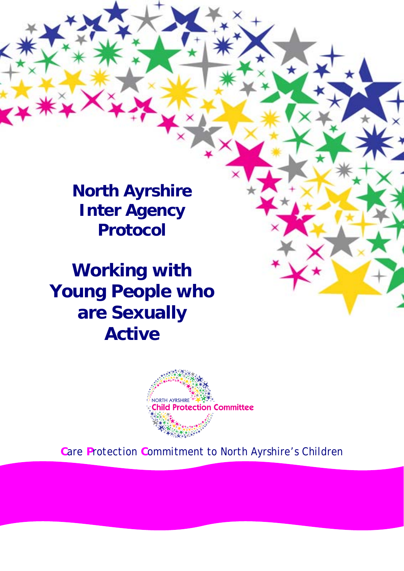**North Ayrshire Inter Agency Protocol**

**Working with Young People who are Sexually Active**



**C**are **P**rotection **C**ommitment to North Ayrshire's Children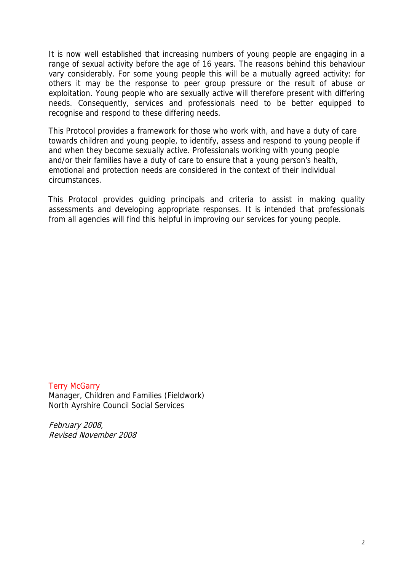It is now well established that increasing numbers of young people are engaging in a range of sexual activity before the age of 16 years. The reasons behind this behaviour vary considerably. For some young people this will be a mutually agreed activity: for others it may be the response to peer group pressure or the result of abuse or exploitation. Young people who are sexually active will therefore present with differing needs. Consequently, services and professionals need to be better equipped to recognise and respond to these differing needs.

This Protocol provides a framework for those who work with, and have a duty of care towards children and young people, to identify, assess and respond to young people if and when they become sexually active. Professionals working with young people and/or their families have a duty of care to ensure that a young person's health, emotional and protection needs are considered in the context of their individual circumstances.

This Protocol provides guiding principals and criteria to assist in making quality assessments and developing appropriate responses. It is intended that professionals from all agencies will find this helpful in improving our services for young people.

**Terry McGarry** Manager, Children and Families (Fieldwork) North Ayrshire Council Social Services

February 2008, Revised November 2008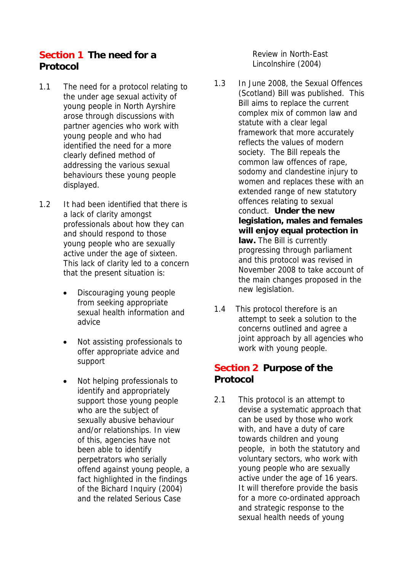## **Section 1 The need for a Protocol**

- 1.1 The need for a protocol relating to the under age sexual activity of young people in North Ayrshire arose through discussions with partner agencies who work with young people and who had identified the need for a more clearly defined method of addressing the various sexual behaviours these young people displayed.
- 1.2 It had been identified that there is a lack of clarity amongst professionals about how they can and should respond to those young people who are sexually active under the age of sixteen. This lack of clarity led to a concern that the present situation is:
	- Discouraging young people from seeking appropriate sexual health information and advice
	- Not assisting professionals to offer appropriate advice and support
	- Not helping professionals to identify and appropriately support those young people who are the subject of sexually abusive behaviour and/or relationships. In view of this, agencies have not been able to identify perpetrators who serially offend against young people, a fact highlighted in the findings of the Bichard Inquiry (2004) and the related Serious Case

Review in North-East Lincolnshire (2004)

- 1.3 In June 2008, the Sexual Offences (Scotland) Bill was published. This Bill aims to replace the current complex mix of common law and statute with a clear legal framework that more accurately reflects the values of modern society. The Bill repeals the common law offences of rape, sodomy and clandestine injury to women and replaces these with an extended range of new statutory offences relating to sexual conduct. **Under the new legislation, males and females will enjoy equal protection in law.** The Bill is currently progressing through parliament and this protocol was revised in November 2008 to take account of the main changes proposed in the new legislation.
- 1.4 This protocol therefore is an attempt to seek a solution to the concerns outlined and agree a joint approach by all agencies who work with young people.

## **Section 2 Purpose of the Protocol**

2.1 This protocol is an attempt to devise a systematic approach that can be used by those who work with, and have a duty of care towards children and young people, in both the statutory and voluntary sectors, who work with young people who are sexually active under the age of 16 years. It will therefore provide the basis for a more co-ordinated approach and strategic response to the sexual health needs of young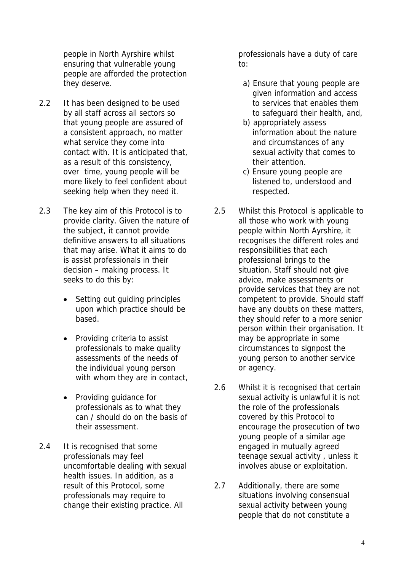people in North Ayrshire whilst ensuring that vulnerable young people are afforded the protection they deserve.

- 2.2 It has been designed to be used by all staff across all sectors so that young people are assured of a consistent approach, no matter what service they come into contact with. It is anticipated that, as a result of this consistency, over time, young people will be more likely to feel confident about seeking help when they need it.
- 2.3 The key aim of this Protocol is to provide clarity. Given the nature of the subject, it cannot provide definitive answers to all situations that may arise. What it aims to do is assist professionals in their decision – making process. It seeks to do this by:
	- Setting out guiding principles upon which practice should be based.
	- Providing criteria to assist professionals to make quality assessments of the needs of the individual young person with whom they are in contact,
	- Providing guidance for professionals as to what they can / should do on the basis of their assessment.
- 2.4 It is recognised that some professionals may feel uncomfortable dealing with sexual health issues. In addition, as a result of this Protocol, some professionals may require to change their existing practice. All

professionals have a duty of care to:

- a) Ensure that young people are given information and access to services that enables them to safeguard their health, and,
- b) appropriately assess information about the nature and circumstances of any sexual activity that comes to their attention.
- c) Ensure young people are listened to, understood and respected.
- 2.5 Whilst this Protocol is applicable to all those who work with young people within North Ayrshire, it recognises the different roles and responsibilities that each professional brings to the situation. Staff should not give advice, make assessments or provide services that they are not competent to provide. Should staff have any doubts on these matters, they should refer to a more senior person within their organisation. It may be appropriate in some circumstances to signpost the young person to another service or agency.
- 2.6 Whilst it is recognised that certain sexual activity is unlawful it is not the role of the professionals covered by this Protocol to encourage the prosecution of two young people of a similar age engaged in mutually agreed teenage sexual activity , unless it involves abuse or exploitation.
- 2.7 Additionally, there are some situations involving consensual sexual activity between young people that do not constitute a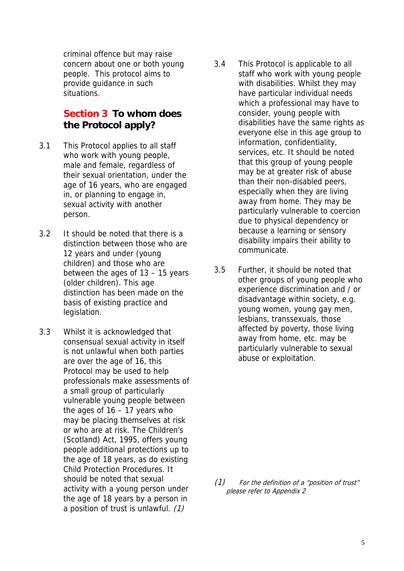criminal offence but may raise concern about one or both young people. This protocol aims to provide guidance in such situations.

## **Section 3 To whom does the Protocol apply?**

- 3.1 This Protocol applies to all staff who work with young people, male and female, regardless of their sexual orientation, under the age of 16 years, who are engaged in, or planning to engage in, sexual activity with another person.
- 3.2 It should be noted that there is a distinction between those who are 12 years and under (young children) and those who are between the ages of 13 – 15 years (older children). This age distinction has been made on the basis of existing practice and legislation.
- 3.3 Whilst it is acknowledged that consensual sexual activity in itself is not unlawful when both parties are over the age of 16, this Protocol may be used to help professionals make assessments of a small group of particularly vulnerable young people between the ages of  $16 - 17$  years who may be placing themselves at risk or who are at risk. The Children's (Scotland) Act, 1995, offers young people additional protections up to the age of 18 years, as do existing Child Protection Procedures. It should be noted that sexual activity with a young person under the age of 18 years by a person in a position of trust is unlawful. (1)
- 3.4 This Protocol is applicable to all staff who work with young people with disabilities. Whilst they may have particular individual needs which a professional may have to consider, young people with disabilities have the same rights as everyone else in this age group to information, confidentiality, services, etc. It should be noted that this group of young people may be at greater risk of abuse than their non-disabled peers, especially when they are living away from home. They may be particularly vulnerable to coercion due to physical dependency or because a learning or sensory disability impairs their ability to communicate.
- 3.5 Further, it should be noted that other groups of young people who experience discrimination and / or disadvantage within society, e.g. young women, young gay men, lesbians, transsexuals, those affected by poverty, those living away from home, etc. may be particularly vulnerable to sexual abuse or exploitation.

(1) For the definition of a "position of trust" please refer to Appendix 2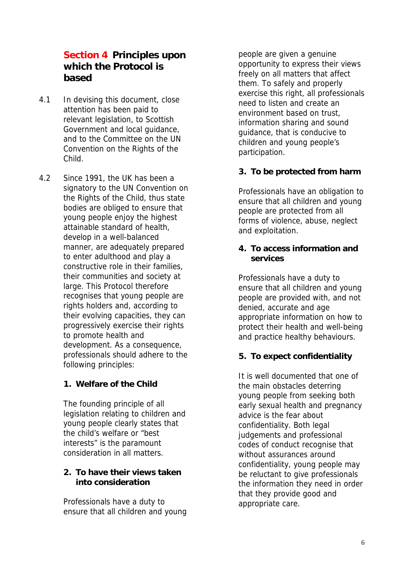## **Section 4 Principles upon which the Protocol is based**

- 4.1 In devising this document, close attention has been paid to relevant legislation, to Scottish Government and local guidance, and to the Committee on the UN Convention on the Rights of the Child.
- 4.2 Since 1991, the UK has been a signatory to the UN Convention on the Rights of the Child, thus state bodies are obliged to ensure that young people enjoy the highest attainable standard of health, develop in a well-balanced manner, are adequately prepared to enter adulthood and play a constructive role in their families, their communities and society at large. This Protocol therefore recognises that young people are rights holders and, according to their evolving capacities, they can progressively exercise their rights to promote health and development. As a consequence, professionals should adhere to the following principles:

### **1. Welfare of the Child**

The founding principle of all legislation relating to children and young people clearly states that the child's welfare or "best interests" is the paramount consideration in all matters.

### **2. To have their views taken into consideration**

Professionals have a duty to ensure that all children and young people are given a genuine opportunity to express their views freely on all matters that affect them. To safely and properly exercise this right, all professionals need to listen and create an environment based on trust, information sharing and sound guidance, that is conducive to children and young people's participation.

### **3. To be protected from harm**

Professionals have an obligation to ensure that all children and young people are protected from all forms of violence, abuse, neglect and exploitation.

#### **4. To access information and services**

Professionals have a duty to ensure that all children and young people are provided with, and not denied, accurate and age appropriate information on how to protect their health and well-being and practice healthy behaviours.

### **5. To expect confidentiality**

It is well documented that one of the main obstacles deterring young people from seeking both early sexual health and pregnancy advice is the fear about confidentiality. Both legal judgements and professional codes of conduct recognise that without assurances around confidentiality, young people may be reluctant to give professionals the information they need in order that they provide good and appropriate care.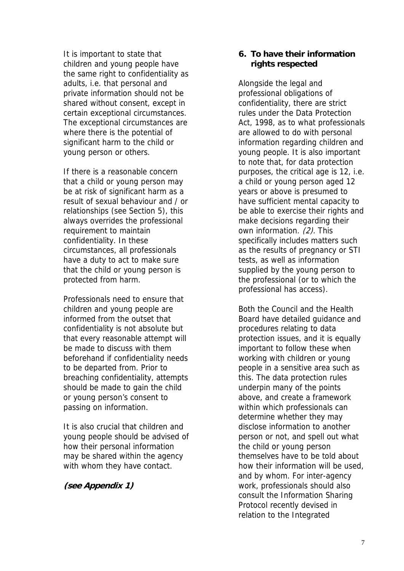It is important to state that children and young people have the same right to confidentiality as adults, i.e. that personal and private information should not be shared without consent, except in certain exceptional circumstances. The exceptional circumstances are where there is the potential of significant harm to the child or young person or others.

If there is a reasonable concern that a child or young person may be at risk of significant harm as a result of sexual behaviour and / or relationships (see Section 5), this always overrides the professional requirement to maintain confidentiality. In these circumstances, all professionals have a duty to act to make sure that the child or young person is protected from harm.

Professionals need to ensure that children and young people are informed from the outset that confidentiality is not absolute but that every reasonable attempt will be made to discuss with them beforehand if confidentiality needs to be departed from. Prior to breaching confidentiality, attempts should be made to gain the child or young person's consent to passing on information.

It is also crucial that children and young people should be advised of how their personal information may be shared within the agency with whom they have contact.

#### **(see Appendix 1)**

#### **6. To have their information rights respected**

Alongside the legal and professional obligations of confidentiality, there are strict rules under the Data Protection Act, 1998, as to what professionals are allowed to do with personal information regarding children and young people. It is also important to note that, for data protection purposes, the critical age is 12, i.e. a child or young person aged 12 years or above is presumed to have sufficient mental capacity to be able to exercise their rights and make decisions regarding their own information. (2). This specifically includes matters such as the results of pregnancy or STI tests, as well as information supplied by the young person to the professional (or to which the professional has access).

Both the Council and the Health Board have detailed guidance and procedures relating to data protection issues, and it is equally important to follow these when working with children or young people in a sensitive area such as this. The data protection rules underpin many of the points above, and create a framework within which professionals can determine whether they may disclose information to another person or not, and spell out what the child or young person themselves have to be told about how their information will be used, and by whom. For inter-agency work, professionals should also consult the Information Sharing Protocol recently devised in relation to the Integrated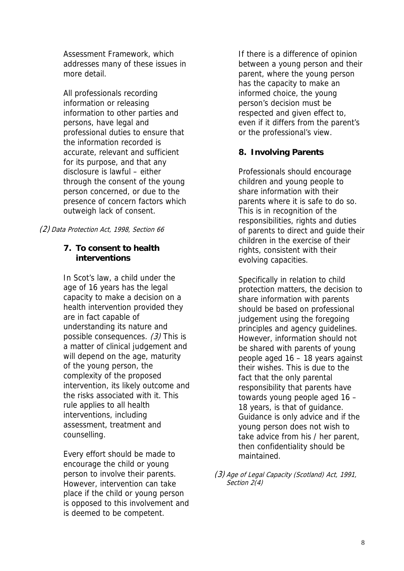Assessment Framework, which addresses many of these issues in more detail.

All professionals recording information or releasing information to other parties and persons, have legal and professional duties to ensure that the information recorded is accurate, relevant and sufficient for its purpose, and that any disclosure is lawful – either through the consent of the young person concerned, or due to the presence of concern factors which outweigh lack of consent.

(2) Data Protection Act, 1998, Section 66

### **7. To consent to health interventions**

In Scot's law, a child under the age of 16 years has the legal capacity to make a decision on a health intervention provided they are in fact capable of understanding its nature and possible consequences. (3) This is a matter of clinical judgement and will depend on the age, maturity of the young person, the complexity of the proposed intervention, its likely outcome and the risks associated with it. This rule applies to all health interventions, including assessment, treatment and counselling.

Every effort should be made to encourage the child or young person to involve their parents. However, intervention can take place if the child or young person is opposed to this involvement and is deemed to be competent.

If there is a difference of opinion between a young person and their parent, where the young person has the capacity to make an informed choice, the young person's decision must be respected and given effect to, even if it differs from the parent's or the professional's view.

### **8. Involving Parents**

Professionals should encourage children and young people to share information with their parents where it is safe to do so. This is in recognition of the responsibilities, rights and duties of parents to direct and guide their children in the exercise of their rights, consistent with their evolving capacities.

Specifically in relation to child protection matters, the decision to share information with parents should be based on professional judgement using the foregoing principles and agency guidelines. However, information should not be shared with parents of young people aged 16 – 18 years against their wishes. This is due to the fact that the only parental responsibility that parents have towards young people aged 16 – 18 years, is that of guidance. Guidance is only advice and if the young person does not wish to take advice from his / her parent, then confidentiality should be maintained.

<sup>(3)</sup> Age of Legal Capacity (Scotland) Act, 1991, Section 2(4)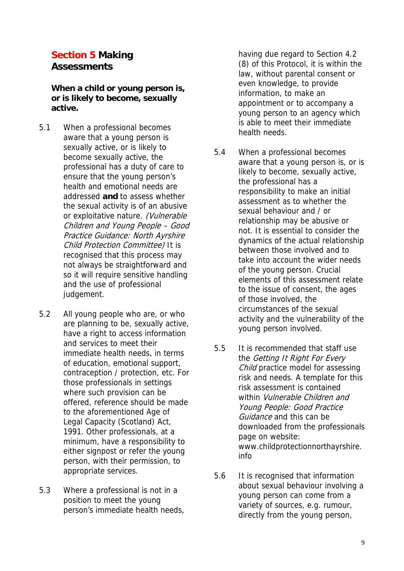# **Section 5 Making Assessments**

**When a child or young person is, or is likely to become, sexually active.**

- 5.1 When a professional becomes aware that a young person is sexually active, or is likely to become sexually active, the professional has a duty of care to ensure that the young person's health and emotional needs are addressed **and** to assess whether the sexual activity is of an abusive or exploitative nature. (Vulnerable Children and Young People – Good Practice Guidance: North Ayrshire Child Protection Committee) It is recognised that this process may not always be straightforward and so it will require sensitive handling and the use of professional judgement.
- 5.2 All young people who are, or who are planning to be, sexually active, have a right to access information and services to meet their immediate health needs, in terms of education, emotional support, contraception / protection, etc. For those professionals in settings where such provision can be offered, reference should be made to the aforementioned Age of Legal Capacity (Scotland) Act, 1991. Other professionals, at a minimum, have a responsibility to either signpost or refer the young person, with their permission, to appropriate services.
- 5.3 Where a professional is not in a position to meet the young person's immediate health needs,

having due regard to Section 4.2 (8) of this Protocol, it is within the law, without parental consent or even knowledge, to provide information, to make an appointment or to accompany a young person to an agency which is able to meet their immediate health needs.

- 5.4 When a professional becomes aware that a young person is, or is likely to become, sexually active, the professional has a responsibility to make an initial assessment as to whether the sexual behaviour and / or relationship may be abusive or not. It is essential to consider the dynamics of the actual relationship between those involved and to take into account the wider needs of the young person. Crucial elements of this assessment relate to the issue of consent, the ages of those involved, the circumstances of the sexual activity and the vulnerability of the young person involved.
- 5.5 It is recommended that staff use the Getting It Right For Every Child practice model for assessing risk and needs. A template for this risk assessment is contained within Vulnerable Children and Young People: Good Practice Guidance and this can be downloaded from the professionals page on website: www.childprotectionnorthayrshire. info
- 5.6 It is recognised that information about sexual behaviour involving a young person can come from a variety of sources, e.g. rumour, directly from the young person,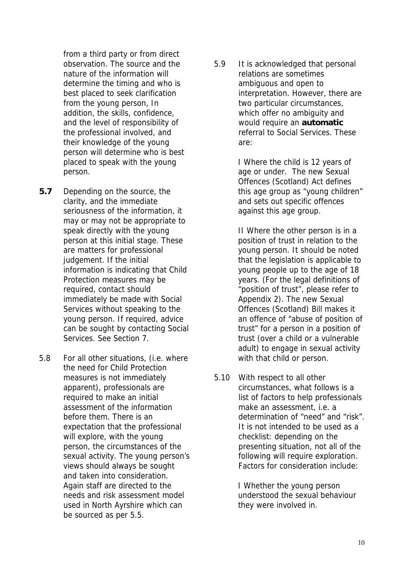from a third party or from direct observation. The source and the nature of the information will determine the timing and who is best placed to seek clarification from the young person, In addition, the skills, confidence, and the level of responsibility of the professional involved, and their knowledge of the young person will determine who is best placed to speak with the young person.

- **5.7** Depending on the source, the clarity, and the immediate seriousness of the information, it may or may not be appropriate to speak directly with the young person at this initial stage. These are matters for professional judgement. If the initial information is indicating that Child Protection measures may be required, contact should immediately be made with Social Services without speaking to the young person. If required, advice can be sought by contacting Social Services. See Section 7.
- 5.8 For all other situations, (i.e. where the need for Child Protection measures is not immediately apparent), professionals are required to make an initial assessment of the information before them. There is an expectation that the professional will explore, with the young person, the circumstances of the sexual activity. The young person's views should always be sought and taken into consideration. Again staff are directed to the needs and risk assessment model used in North Ayrshire which can be sourced as per 5.5.

5.9 It is acknowledged that personal relations are sometimes ambiguous and open to interpretation. However, there are two particular circumstances, which offer no ambiguity and would require an **automatic** referral to Social Services. These are:

> I Where the child is 12 years of age or under. The new Sexual Offences (Scotland) Act defines this age group as "young children" and sets out specific offences against this age group.

> II Where the other person is in a position of trust in relation to the young person. It should be noted that the legislation is applicable to young people up to the age of 18 years. (For the legal definitions of "position of trust", please refer to Appendix 2). The new Sexual Offences (Scotland) Bill makes it an offence of "abuse of position of trust" for a person in a position of trust (over a child or a vulnerable adult) to engage in sexual activity with that child or person.

5.10 With respect to all other circumstances, what follows is a list of factors to help professionals make an assessment, i.e. a determination of "need" and "risk". It is not intended to be used as a checklist: depending on the presenting situation, not all of the following will require exploration. Factors for consideration include:

> I Whether the young person understood the sexual behaviour they were involved in.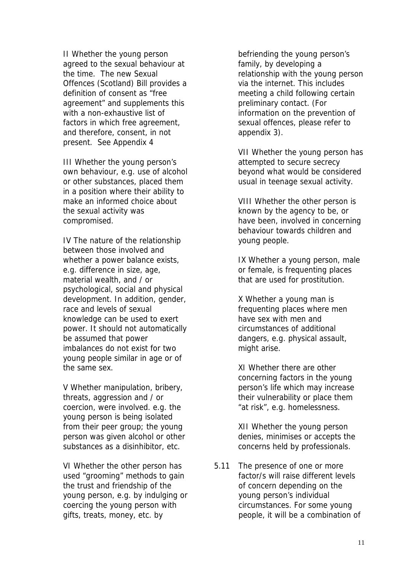II Whether the young person agreed to the sexual behaviour at the time. The new Sexual Offences (Scotland) Bill provides a definition of consent as "free agreement" and supplements this with a non-exhaustive list of factors in which free agreement, and therefore, consent, in not present. See Appendix 4

III Whether the young person's own behaviour, e.g. use of alcohol or other substances, placed them in a position where their ability to make an informed choice about the sexual activity was compromised.

IV The nature of the relationship between those involved and whether a power balance exists, e.g. difference in size, age, material wealth, and / or psychological, social and physical development. In addition, gender, race and levels of sexual knowledge can be used to exert power. It should not automatically be assumed that power imbalances do not exist for two young people similar in age or of the same sex.

V Whether manipulation, bribery, threats, aggression and / or coercion, were involved. e.g. the young person is being isolated from their peer group; the young person was given alcohol or other substances as a disinhibitor, etc.

VI Whether the other person has used "grooming" methods to gain the trust and friendship of the young person, e.g. by indulging or coercing the young person with gifts, treats, money, etc. by

befriending the young person's family, by developing a relationship with the young person via the internet. This includes meeting a child following certain preliminary contact. (For information on the prevention of sexual offences, please refer to appendix 3).

VII Whether the young person has attempted to secure secrecy beyond what would be considered usual in teenage sexual activity.

VIII Whether the other person is known by the agency to be, or have been, involved in concerning behaviour towards children and young people.

IX Whether a young person, male or female, is frequenting places that are used for prostitution.

X Whether a young man is frequenting places where men have sex with men and circumstances of additional dangers, e.g. physical assault, might arise.

XI Whether there are other concerning factors in the young person's life which may increase their vulnerability or place them "at risk", e.g. homelessness.

XII Whether the young person denies, minimises or accepts the concerns held by professionals.

5.11 The presence of one or more factor/s will raise different levels of concern depending on the young person's individual circumstances. For some young people, it will be a combination of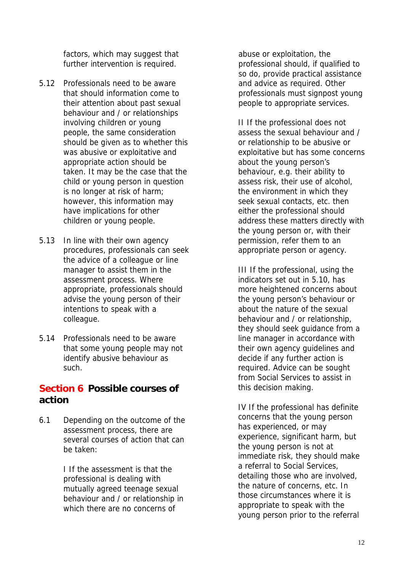factors, which may suggest that further intervention is required.

- 5.12 Professionals need to be aware that should information come to their attention about past sexual behaviour and / or relationships involving children or young people, the same consideration should be given as to whether this was abusive or exploitative and appropriate action should be taken. It may be the case that the child or young person in question is no longer at risk of harm; however, this information may have implications for other children or young people.
- 5.13 In line with their own agency procedures, professionals can seek the advice of a colleague or line manager to assist them in the assessment process. Where appropriate, professionals should advise the young person of their intentions to speak with a colleague.
- 5.14 Professionals need to be aware that some young people may not identify abusive behaviour as such.

## **Section 6 Possible courses of action**

6.1 Depending on the outcome of the assessment process, there are several courses of action that can be taken:

> I If the assessment is that the professional is dealing with mutually agreed teenage sexual behaviour and / or relationship in which there are no concerns of

abuse or exploitation, the professional should, if qualified to so do, provide practical assistance and advice as required. Other professionals must signpost young people to appropriate services.

II If the professional does not assess the sexual behaviour and / or relationship to be abusive or exploitative but has some concerns about the young person's behaviour, e.g. their ability to assess risk, their use of alcohol, the environment in which they seek sexual contacts, etc. then either the professional should address these matters directly with the young person or, with their permission, refer them to an appropriate person or agency.

III If the professional, using the indicators set out in 5.10, has more heightened concerns about the young person's behaviour or about the nature of the sexual behaviour and / or relationship, they should seek guidance from a line manager in accordance with their own agency guidelines and decide if any further action is required. Advice can be sought from Social Services to assist in this decision making.

IV If the professional has definite concerns that the young person has experienced, or may experience, significant harm, but the young person is not at immediate risk, they should make a referral to Social Services, detailing those who are involved, the nature of concerns, etc. In those circumstances where it is appropriate to speak with the young person prior to the referral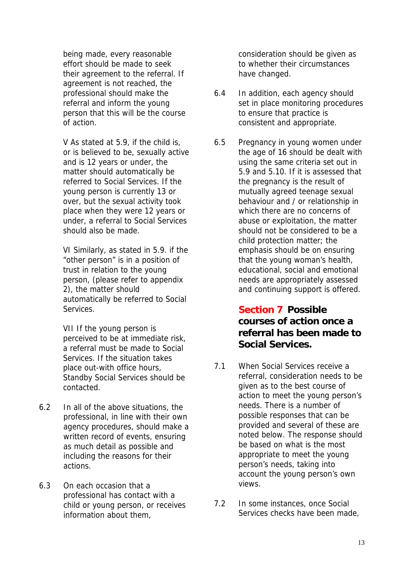being made, every reasonable effort should be made to seek their agreement to the referral. If agreement is not reached, the professional should make the referral and inform the young person that this will be the course of action.

V As stated at 5.9, if the child is, or is believed to be, sexually active and is 12 years or under, the matter should automatically be referred to Social Services. If the young person is currently 13 or over, but the sexual activity took place when they were 12 years or under, a referral to Social Services should also be made.

VI Similarly, as stated in 5.9. if the "other person" is in a position of trust in relation to the young person, (please refer to appendix 2), the matter should automatically be referred to Social **Services** 

VII If the young person is perceived to be at immediate risk, a referral must be made to Social Services. If the situation takes place out-with office hours, Standby Social Services should be contacted.

- 6.2 In all of the above situations, the professional, in line with their own agency procedures, should make a written record of events, ensuring as much detail as possible and including the reasons for their actions.
- 6.3 On each occasion that a professional has contact with a child or young person, or receives information about them,

consideration should be given as to whether their circumstances have changed.

- 6.4 In addition, each agency should set in place monitoring procedures to ensure that practice is consistent and appropriate.
- 6.5 Pregnancy in young women under the age of 16 should be dealt with using the same criteria set out in 5.9 and 5.10. If it is assessed that the pregnancy is the result of mutually agreed teenage sexual behaviour and / or relationship in which there are no concerns of abuse or exploitation, the matter should not be considered to be a child protection matter; the emphasis should be on ensuring that the young woman's health, educational, social and emotional needs are appropriately assessed and continuing support is offered.

## **Section 7 Possible courses of action once a referral has been made to Social Services.**

- 7.1 When Social Services receive a referral, consideration needs to be given as to the best course of action to meet the young person's needs. There is a number of possible responses that can be provided and several of these are noted below. The response should be based on what is the most appropriate to meet the young person's needs, taking into account the young person's own views.
- 7.2 In some instances, once Social Services checks have been made,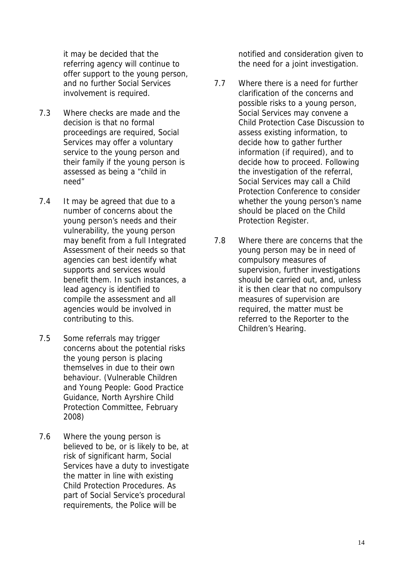it may be decided that the referring agency will continue to offer support to the young person, and no further Social Services involvement is required.

- 7.3 Where checks are made and the decision is that no formal proceedings are required, Social Services may offer a voluntary service to the young person and their family if the young person is assessed as being a "child in need"
- 7.4 It may be agreed that due to a number of concerns about the young person's needs and their vulnerability, the young person may benefit from a full Integrated Assessment of their needs so that agencies can best identify what supports and services would benefit them. In such instances, a lead agency is identified to compile the assessment and all agencies would be involved in contributing to this.
- 7.5 Some referrals may trigger concerns about the potential risks the young person is placing themselves in due to their own behaviour. (Vulnerable Children and Young People: Good Practice Guidance, North Ayrshire Child Protection Committee, February 2008)
- 7.6 Where the young person is believed to be, or is likely to be, at risk of significant harm, Social Services have a duty to investigate the matter in line with existing Child Protection Procedures. As part of Social Service's procedural requirements, the Police will be

notified and consideration given to the need for a joint investigation.

- 7.7 Where there is a need for further clarification of the concerns and possible risks to a young person, Social Services may convene a Child Protection Case Discussion to assess existing information, to decide how to gather further information (if required), and to decide how to proceed. Following the investigation of the referral, Social Services may call a Child Protection Conference to consider whether the young person's name should be placed on the Child Protection Register.
- 7.8 Where there are concerns that the young person may be in need of compulsory measures of supervision, further investigations should be carried out, and, unless it is then clear that no compulsory measures of supervision are required, the matter must be referred to the Reporter to the Children's Hearing.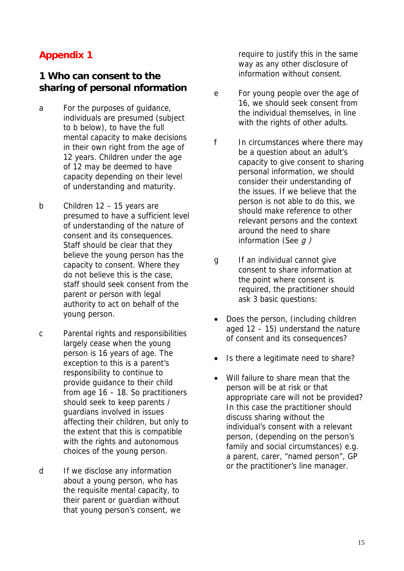## **1 Who can consent to the sharing of personal nformation**

- a For the purposes of guidance, individuals are presumed (subject to b below), to have the full mental capacity to make decisions in their own right from the age of 12 years. Children under the age of 12 may be deemed to have capacity depending on their level of understanding and maturity.
- b Children 12 15 years are presumed to have a sufficient level of understanding of the nature of consent and its consequences. Staff should be clear that they believe the young person has the capacity to consent. Where they do not believe this is the case, staff should seek consent from the parent or person with legal authority to act on behalf of the young person.
- c Parental rights and responsibilities largely cease when the young person is 16 years of age. The exception to this is a parent's responsibility to continue to provide guidance to their child from age 16 – 18. So practitioners should seek to keep parents / guardians involved in issues affecting their children, but only to the extent that this is compatible with the rights and autonomous choices of the young person.
- d If we disclose any information about a young person, who has the requisite mental capacity, to their parent or guardian without that young person's consent, we

require to justify this in the same way as any other disclosure of information without consent.

- e For young people over the age of 16, we should seek consent from the individual themselves, in line with the rights of other adults.
- f In circumstances where there may be a question about an adult's capacity to give consent to sharing personal information, we should consider their understanding of the issues. If we believe that the person is not able to do this, we should make reference to other relevant persons and the context around the need to share information (See  $q$ )
- g If an individual cannot give consent to share information at the point where consent is required, the practitioner should ask 3 basic questions:
- Does the person, (including children aged 12 – 15) understand the nature of consent and its consequences?
- Is there a legitimate need to share?
- Will failure to share mean that the person will be at risk or that appropriate care will not be provided? In this case the practitioner should discuss sharing without the individual's consent with a relevant person, (depending on the person's family and social circumstances) e.g. a parent, carer, "named person", GP or the practitioner's line manager.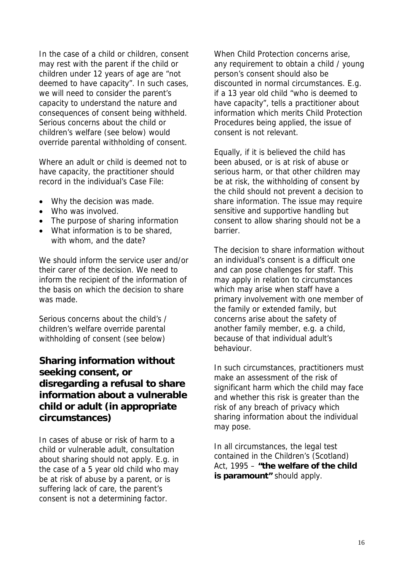In the case of a child or children, consent may rest with the parent if the child or children under 12 years of age are "not deemed to have capacity". In such cases, we will need to consider the parent's capacity to understand the nature and consequences of consent being withheld. Serious concerns about the child or children's welfare (see below) would override parental withholding of consent.

Where an adult or child is deemed not to have capacity, the practitioner should record in the individual's Case File:

- Why the decision was made.
- Who was involved.
- The purpose of sharing information
- What information is to be shared, with whom, and the date?

We should inform the service user and/or their carer of the decision. We need to inform the recipient of the information of the basis on which the decision to share was made.

Serious concerns about the child's / children's welfare override parental withholding of consent (see below)

## **Sharing information without seeking consent, or disregarding a refusal to share information about a vulnerable child or adult (in appropriate circumstances)**

In cases of abuse or risk of harm to a child or vulnerable adult, consultation about sharing should not apply. E.g. in the case of a 5 year old child who may be at risk of abuse by a parent, or is suffering lack of care, the parent's consent is not a determining factor.

When Child Protection concerns arise, any requirement to obtain a child / young person's consent should also be discounted in normal circumstances. E.g. if a 13 year old child "who is deemed to have capacity", tells a practitioner about information which merits Child Protection Procedures being applied, the issue of consent is not relevant.

Equally, if it is believed the child has been abused, or is at risk of abuse or serious harm, or that other children may be at risk, the withholding of consent by the child should not prevent a decision to share information. The issue may require sensitive and supportive handling but consent to allow sharing should not be a barrier.

The decision to share information without an individual's consent is a difficult one and can pose challenges for staff. This may apply in relation to circumstances which may arise when staff have a primary involvement with one member of the family or extended family, but concerns arise about the safety of another family member, e.g. a child, because of that individual adult's behaviour.

In such circumstances, practitioners must make an assessment of the risk of significant harm which the child may face and whether this risk is greater than the risk of any breach of privacy which sharing information about the individual may pose.

In all circumstances, the legal test contained in the Children's (Scotland) Act, 1995 – **"the welfare of the child is paramount"** should apply.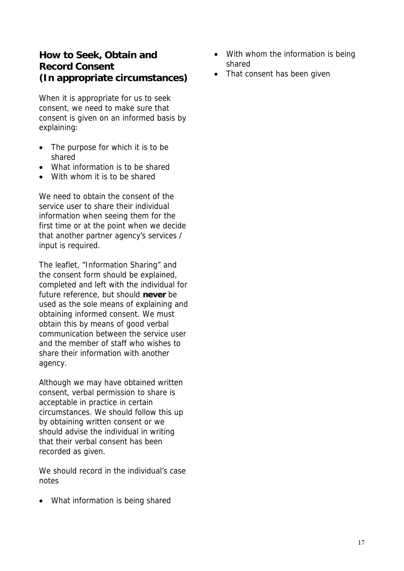## **How to Seek, Obtain and Record Consent (In appropriate circumstances)**

When it is appropriate for us to seek consent, we need to make sure that consent is given on an informed basis by explaining:

- The purpose for which it is to be shared
- What information is to be shared
- With whom it is to be shared

We need to obtain the consent of the service user to share their individual information when seeing them for the first time or at the point when we decide that another partner agency's services / input is required.

The leaflet, "Information Sharing" and the consent form should be explained, completed and left with the individual for future reference, but should **never** be used as the sole means of explaining and obtaining informed consent. We must obtain this by means of good verbal communication between the service user and the member of staff who wishes to share their information with another agency.

Although we may have obtained written consent, verbal permission to share is acceptable in practice in certain circumstances. We should follow this up by obtaining written consent or we should advise the individual in writing that their verbal consent has been recorded as given.

We should record in the individual's case notes

• What information is being shared

- With whom the information is being shared
- That consent has been given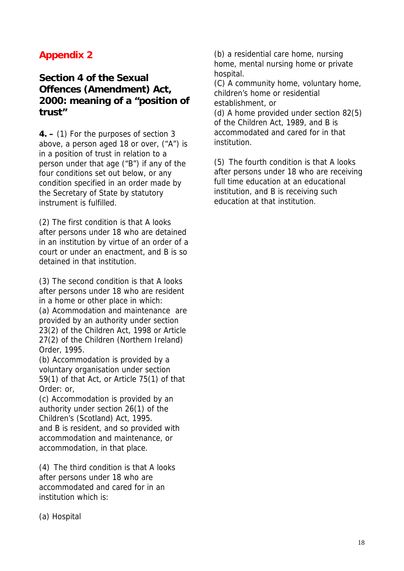## **Section 4 of the Sexual Offences (Amendment) Act, 2000: meaning of a "position of trust"**

**4. –** (1) For the purposes of section 3 above, a person aged 18 or over, ("A") is in a position of trust in relation to a person under that age ("B") if any of the four conditions set out below, or any condition specified in an order made by the Secretary of State by statutory instrument is fulfilled.

(2) The first condition is that A looks after persons under 18 who are detained in an institution by virtue of an order of a court or under an enactment, and B is so detained in that institution.

(3) The second condition is that A looks after persons under 18 who are resident in a home or other place in which: (a) Acommodation and maintenance are provided by an authority under section 23(2) of the Children Act, 1998 or Article 27(2) of the Children (Northern Ireland) Order, 1995.

(b) Accommodation is provided by a voluntary organisation under section 59(1) of that Act, or Article 75(1) of that Order: or,

(c) Accommodation is provided by an authority under section 26(1) of the Children's (Scotland) Act, 1995. and B is resident, and so provided with accommodation and maintenance, or accommodation, in that place.

(4) The third condition is that A looks after persons under 18 who are accommodated and cared for in an institution which is:

(b) a residential care home, nursing home, mental nursing home or private hospital.

(C) A community home, voluntary home, children's home or residential establishment, or

(d) A home provided under section 82(5) of the Children Act, 1989, and B is accommodated and cared for in that institution.

(5) The fourth condition is that A looks after persons under 18 who are receiving full time education at an educational institution, and B is receiving such education at that institution.

(a) Hospital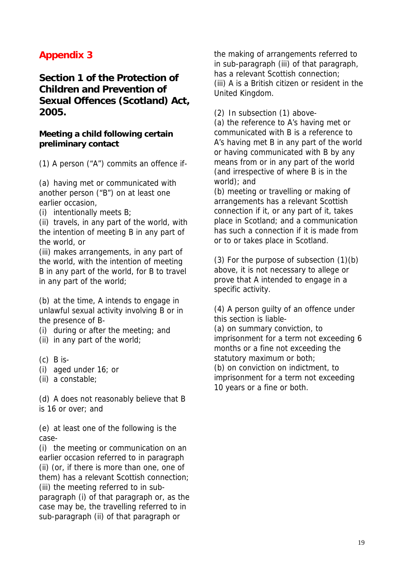## **Section 1 of the Protection of Children and Prevention of Sexual Offences (Scotland) Act, 2005.**

#### **Meeting a child following certain preliminary contact**

(1) A person ("A") commits an offence if-

(a) having met or communicated with another person ("B") on at least one earlier occasion,

(i) intentionally meets B;

(ii) travels, in any part of the world, with the intention of meeting B in any part of the world, or

(iii) makes arrangements, in any part of the world, with the intention of meeting B in any part of the world, for B to travel in any part of the world;

(b) at the time, A intends to engage in unlawful sexual activity involving B or in the presence of B-

- (i) during or after the meeting; and
- (ii) in any part of the world;
- $(c)$  B is-
- (i) aged under 16; or
- (ii) a constable;

(d) A does not reasonably believe that B is 16 or over; and

(e) at least one of the following is the case-

(i) the meeting or communication on an earlier occasion referred to in paragraph (ii) (or, if there is more than one, one of them) has a relevant Scottish connection; (iii) the meeting referred to in subparagraph (i) of that paragraph or, as the case may be, the travelling referred to in sub-paragraph (ii) of that paragraph or

the making of arrangements referred to in sub-paragraph (iii) of that paragraph, has a relevant Scottish connection; (iii) A is a British citizen or resident in the United Kingdom.

(2) In subsection (1) above-

(a) the reference to A's having met or communicated with B is a reference to A's having met B in any part of the world or having communicated with B by any means from or in any part of the world (and irrespective of where B is in the world); and

(b) meeting or travelling or making of arrangements has a relevant Scottish connection if it, or any part of it, takes place in Scotland; and a communication has such a connection if it is made from or to or takes place in Scotland.

(3) For the purpose of subsection (1)(b) above, it is not necessary to allege or prove that A intended to engage in a specific activity.

(4) A person guilty of an offence under this section is liable- (a) on summary conviction, to imprisonment for a term not exceeding 6 months or a fine not exceeding the statutory maximum or both; (b) on conviction on indictment, to imprisonment for a term not exceeding 10 years or a fine or both.